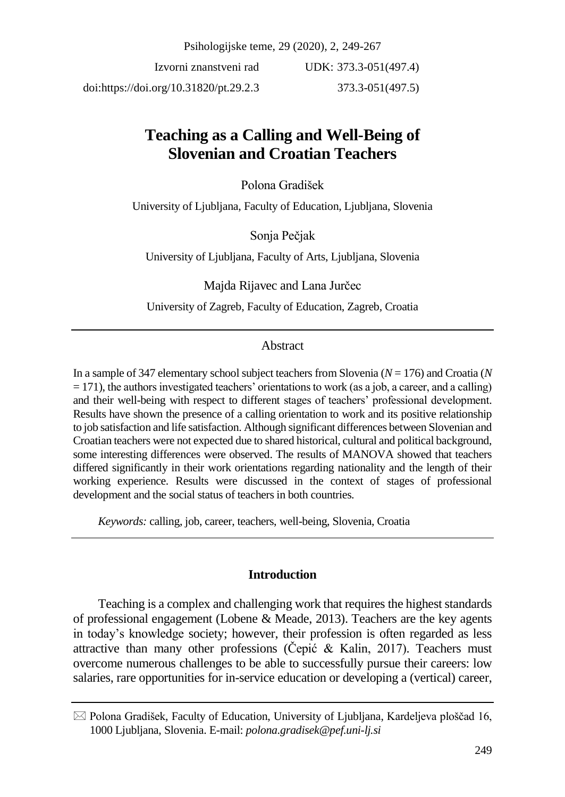Psihologijske teme, 29 (2020), 2, 249-267

Izvorni znanstveni rad doi:https://doi.org/10.31820/pt.29.2.3 UDK: 373.3-051(497.4) 373.3-051(497.5)

# **Teaching as a Calling and Well-Being of Slovenian and Croatian Teachers**

Polona Gradišek

University of Ljubljana, Faculty of Education, Ljubljana, Slovenia

Sonja Pečjak

University of Ljubljana, Faculty of Arts, Ljubljana, Slovenia

Majda Rijavec and Lana Jurčec

University of Zagreb, Faculty of Education, Zagreb, Croatia

## Abstract

In a sample of 347 elementary school subject teachers from Slovenia (*N* = 176) and Croatia (*N*  $= 171$ ), the authors investigated teachers' orientations to work (as a job, a career, and a calling) and their well-being with respect to different stages of teachers' professional development. Results have shown the presence of a calling orientation to work and its positive relationship to job satisfaction and life satisfaction. Although significant differences between Slovenian and Croatian teachers were not expected due to shared historical, cultural and political background, some interesting differences were observed. The results of MANOVA showed that teachers differed significantly in their work orientations regarding nationality and the length of their working experience. Results were discussed in the context of stages of professional development and the social status of teachers in both countries.

*Keywords:* calling, job, career, teachers, well-being, Slovenia, Croatia

#### **Introduction**

Teaching is a complex and challenging work that requires the highest standards of professional engagement (Lobene & Meade, 2013). Teachers are the key agents in today's knowledge society; however, their profession is often regarded as less attractive than many other professions (Čepić & Kalin, 2017). Teachers must overcome numerous challenges to be able to successfully pursue their careers: low salaries, rare opportunities for in-service education or developing a (vertical) career,

 $\boxtimes$  Polona Gradišek, Faculty of Education, University of Ljubljana, Kardeljeva ploščad 16, 1000 Ljubljana, Slovenia. E-mail: *polona.gradisek@pef.uni-lj.si*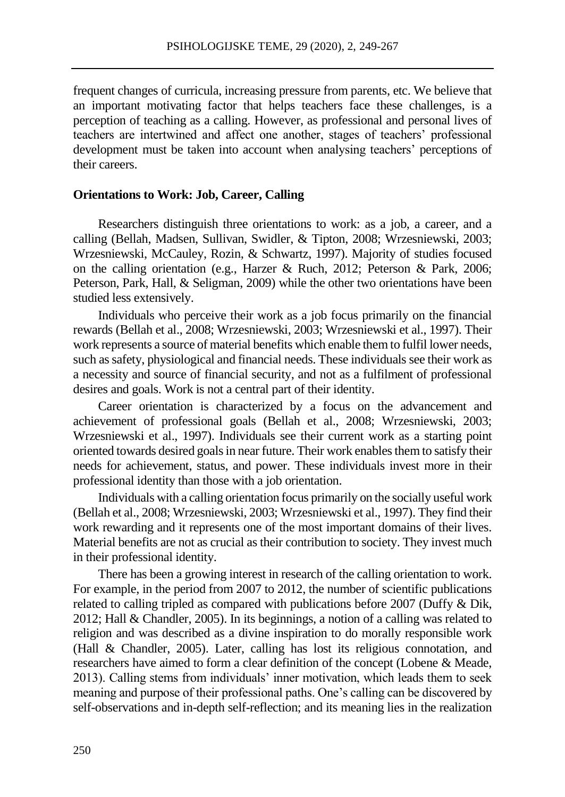frequent changes of curricula, increasing pressure from parents, etc. We believe that an important motivating factor that helps teachers face these challenges, is a perception of teaching as a calling. However, as professional and personal lives of teachers are intertwined and affect one another, stages of teachers' professional development must be taken into account when analysing teachers' perceptions of their careers.

#### **Orientations to Work: Job, Career, Calling**

Researchers distinguish three orientations to work: as a job, a career, and a calling (Bellah, Madsen, Sullivan, Swidler, & Tipton, 2008; Wrzesniewski, 2003; Wrzesniewski, McCauley, Rozin, & Schwartz, 1997). Majority of studies focused on the calling orientation (e.g., Harzer & Ruch, 2012; Peterson & Park, 2006; Peterson, Park, Hall, & Seligman, 2009) while the other two orientations have been studied less extensively.

Individuals who perceive their work as a job focus primarily on the financial rewards (Bellah et al., 2008; Wrzesniewski, 2003; Wrzesniewski et al., 1997). Their work represents a source of material benefits which enable them to fulfil lower needs, such as safety, physiological and financial needs. These individuals see their work as a necessity and source of financial security, and not as a fulfilment of professional desires and goals. Work is not a central part of their identity.

Career orientation is characterized by a focus on the advancement and achievement of professional goals (Bellah et al., 2008; Wrzesniewski, 2003; Wrzesniewski et al., 1997). Individuals see their current work as a starting point oriented towards desired goals in near future. Their work enables them to satisfy their needs for achievement, status, and power. These individuals invest more in their professional identity than those with a job orientation.

Individuals with a calling orientation focus primarily on the socially useful work (Bellah et al., 2008; Wrzesniewski, 2003; Wrzesniewski et al., 1997). They find their work rewarding and it represents one of the most important domains of their lives. Material benefits are not as crucial as their contribution to society. They invest much in their professional identity.

There has been a growing interest in research of the calling orientation to work. For example, in the period from 2007 to 2012, the number of scientific publications related to calling tripled as compared with publications before 2007 (Duffy & Dik, 2012; Hall & Chandler, 2005). In its beginnings, a notion of a calling was related to religion and was described as a divine inspiration to do morally responsible work (Hall & Chandler, 2005). Later, calling has lost its religious connotation, and researchers have aimed to form a clear definition of the concept (Lobene & Meade, 2013). Calling stems from individuals' inner motivation, which leads them to seek meaning and purpose of their professional paths. One's calling can be discovered by self-observations and in-depth self-reflection; and its meaning lies in the realization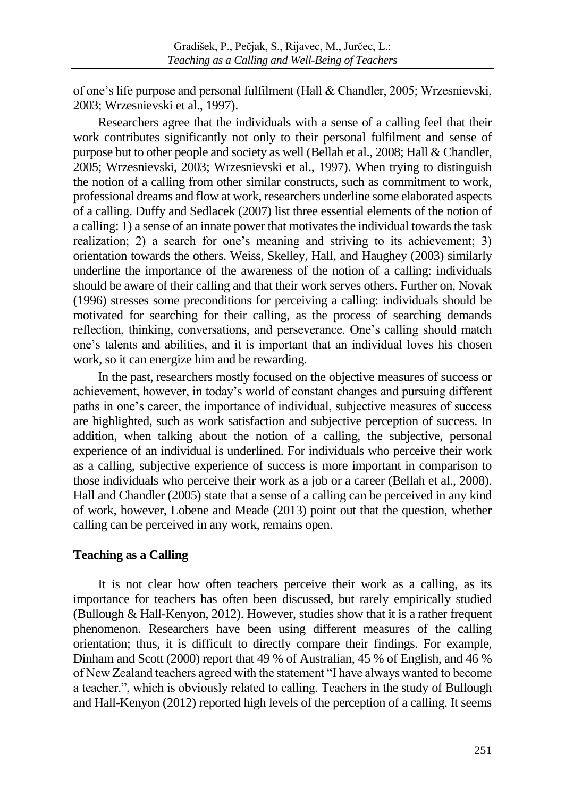of one's life purpose and personal fulfilment (Hall & Chandler, 2005; Wrzesnievski, 2003; Wrzesnievski et al., 1997).

Researchers agree that the individuals with a sense of a calling feel that their work contributes significantly not only to their personal fulfilment and sense of purpose but to other people and society as well (Bellah et al., 2008; Hall & Chandler, 2005; Wrzesnievski, 2003; Wrzesnievski et al., 1997). When trying to distinguish the notion of a calling from other similar constructs, such as commitment to work, professional dreams and flow at work, researchers underline some elaborated aspects of a calling. Duffy and Sedlacek (2007) list three essential elements of the notion of a calling: 1) a sense of an innate power that motivates the individual towards the task realization; 2) a search for one's meaning and striving to its achievement; 3) orientation towards the others. Weiss, Skelley, Hall, and Haughey (2003) similarly underline the importance of the awareness of the notion of a calling: individuals should be aware of their calling and that their work serves others. Further on, Novak (1996) stresses some preconditions for perceiving a calling: individuals should be motivated for searching for their calling, as the process of searching demands reflection, thinking, conversations, and perseverance. One's calling should match one's talents and abilities, and it is important that an individual loves his chosen work, so it can energize him and be rewarding.

In the past, researchers mostly focused on the objective measures of success or achievement, however, in today's world of constant changes and pursuing different paths in one's career, the importance of individual, subjective measures of success are highlighted, such as work satisfaction and subjective perception of success. In addition, when talking about the notion of a calling, the subjective, personal experience of an individual is underlined. For individuals who perceive their work as a calling, subjective experience of success is more important in comparison to those individuals who perceive their work as a job or a career (Bellah et al., 2008). Hall and Chandler (2005) state that a sense of a calling can be perceived in any kind of work, however, Lobene and Meade (2013) point out that the question, whether calling can be perceived in any work, remains open.

## **Teaching as a Calling**

It is not clear how often teachers perceive their work as a calling, as its importance for teachers has often been discussed, but rarely empirically studied (Bullough & Hall-Kenyon, 2012). However, studies show that it is a rather frequent phenomenon. Researchers have been using different measures of the calling orientation; thus, it is difficult to directly compare their findings. For example, Dinham and Scott (2000) report that 49 % of Australian, 45 % of English, and 46 % of New Zealand teachers agreed with the statement "I have always wanted to become a teacher.", which is obviously related to calling. Teachers in the study of Bullough and Hall-Kenyon (2012) reported high levels of the perception of a calling. It seems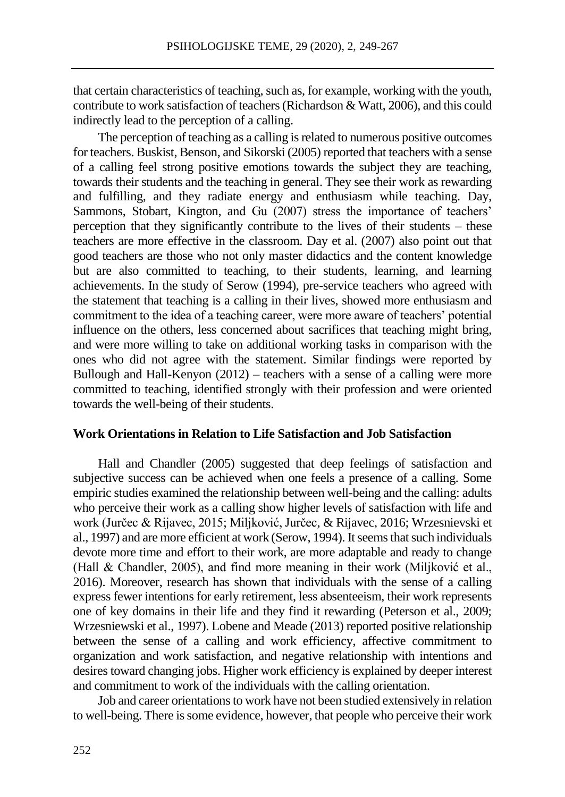that certain characteristics of teaching, such as, for example, working with the youth, contribute to work satisfaction of teachers (Richardson & Watt, 2006), and this could indirectly lead to the perception of a calling.

The perception of teaching as a calling is related to numerous positive outcomes for teachers. Buskist, Benson, and Sikorski (2005) reported that teachers with a sense of a calling feel strong positive emotions towards the subject they are teaching, towards their students and the teaching in general. They see their work as rewarding and fulfilling, and they radiate energy and enthusiasm while teaching. Day, Sammons, Stobart, Kington, and Gu (2007) stress the importance of teachers' perception that they significantly contribute to the lives of their students – these teachers are more effective in the classroom. Day et al. (2007) also point out that good teachers are those who not only master didactics and the content knowledge but are also committed to teaching, to their students, learning, and learning achievements. In the study of Serow (1994), pre-service teachers who agreed with the statement that teaching is a calling in their lives, showed more enthusiasm and commitment to the idea of a teaching career, were more aware of teachers' potential influence on the others, less concerned about sacrifices that teaching might bring, and were more willing to take on additional working tasks in comparison with the ones who did not agree with the statement. Similar findings were reported by Bullough and Hall-Kenyon  $(2012)$  – teachers with a sense of a calling were more committed to teaching, identified strongly with their profession and were oriented towards the well-being of their students.

#### **Work Orientations in Relation to Life Satisfaction and Job Satisfaction**

Hall and Chandler (2005) suggested that deep feelings of satisfaction and subjective success can be achieved when one feels a presence of a calling. Some empiric studies examined the relationship between well-being and the calling: adults who perceive their work as a calling show higher levels of satisfaction with life and work (Jurčec & Rijavec, 2015; Miljković, Jurčec, & Rijavec, 2016; Wrzesnievski et al., 1997) and are more efficient at work (Serow, 1994). It seems that such individuals devote more time and effort to their work, are more adaptable and ready to change (Hall & Chandler, 2005), and find more meaning in their work (Miljković et al., 2016). Moreover, research has shown that individuals with the sense of a calling express fewer intentions for early retirement, less absenteeism, their work represents one of key domains in their life and they find it rewarding (Peterson et al., 2009; Wrzesniewski et al., 1997). Lobene and Meade (2013) reported positive relationship between the sense of a calling and work efficiency, affective commitment to organization and work satisfaction, and negative relationship with intentions and desires toward changing jobs. Higher work efficiency is explained by deeper interest and commitment to work of the individuals with the calling orientation.

Job and career orientations to work have not been studied extensively in relation to well-being. There is some evidence, however, that people who perceive their work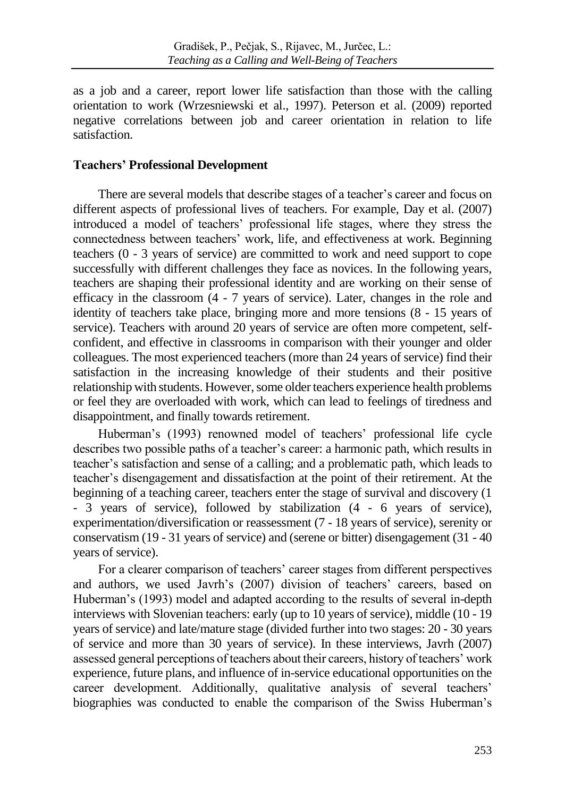as a job and a career, report lower life satisfaction than those with the calling orientation to work (Wrzesniewski et al., 1997). Peterson et al. (2009) reported negative correlations between job and career orientation in relation to life satisfaction.

## **Teachers' Professional Development**

There are several models that describe stages of a teacher's career and focus on different aspects of professional lives of teachers. For example, Day et al. (2007) introduced a model of teachers' professional life stages, where they stress the connectedness between teachers' work, life, and effectiveness at work. Beginning teachers (0 - 3 years of service) are committed to work and need support to cope successfully with different challenges they face as novices. In the following years, teachers are shaping their professional identity and are working on their sense of efficacy in the classroom (4 - 7 years of service). Later, changes in the role and identity of teachers take place, bringing more and more tensions (8 - 15 years of service). Teachers with around 20 years of service are often more competent, selfconfident, and effective in classrooms in comparison with their younger and older colleagues. The most experienced teachers (more than 24 years of service) find their satisfaction in the increasing knowledge of their students and their positive relationship with students. However, some older teachers experience health problems or feel they are overloaded with work, which can lead to feelings of tiredness and disappointment, and finally towards retirement.

Huberman's (1993) renowned model of teachers' professional life cycle describes two possible paths of a teacher's career: a harmonic path, which results in teacher's satisfaction and sense of a calling; and a problematic path, which leads to teacher's disengagement and dissatisfaction at the point of their retirement. At the beginning of a teaching career, teachers enter the stage of survival and discovery (1 - 3 years of service), followed by stabilization (4 - 6 years of service), experimentation/diversification or reassessment (7 - 18 years of service), serenity or conservatism (19 - 31 years of service) and (serene or bitter) disengagement (31 - 40 years of service).

For a clearer comparison of teachers' career stages from different perspectives and authors, we used Javrh's (2007) division of teachers' careers, based on Huberman's (1993) model and adapted according to the results of several in-depth interviews with Slovenian teachers: early (up to 10 years of service), middle (10 - 19 years of service) and late/mature stage (divided further into two stages: 20 - 30 years of service and more than 30 years of service). In these interviews, Javrh (2007) assessed general perceptions of teachers about their careers, history of teachers' work experience, future plans, and influence of in-service educational opportunities on the career development. Additionally, qualitative analysis of several teachers' biographies was conducted to enable the comparison of the Swiss Huberman's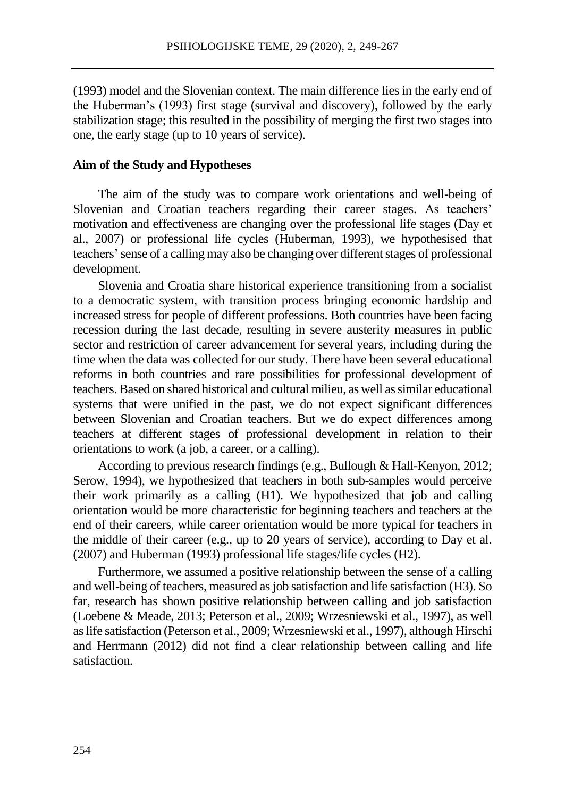(1993) model and the Slovenian context. The main difference lies in the early end of the Huberman's (1993) first stage (survival and discovery), followed by the early stabilization stage; this resulted in the possibility of merging the first two stages into one, the early stage (up to 10 years of service).

#### **Aim of the Study and Hypotheses**

The aim of the study was to compare work orientations and well-being of Slovenian and Croatian teachers regarding their career stages. As teachers' motivation and effectiveness are changing over the professional life stages (Day et al., 2007) or professional life cycles (Huberman, 1993), we hypothesised that teachers' sense of a calling may also be changing over different stages of professional development.

Slovenia and Croatia share historical experience transitioning from a socialist to a democratic system, with transition process bringing economic hardship and increased stress for people of different professions. Both countries have been facing recession during the last decade, resulting in severe austerity measures in public sector and restriction of career advancement for several years, including during the time when the data was collected for our study. There have been several educational reforms in both countries and rare possibilities for professional development of teachers. Based on shared historical and cultural milieu, as well as similar educational systems that were unified in the past, we do not expect significant differences between Slovenian and Croatian teachers. But we do expect differences among teachers at different stages of professional development in relation to their orientations to work (a job, a career, or a calling).

According to previous research findings (e.g., Bullough & Hall-Kenyon, 2012; Serow, 1994), we hypothesized that teachers in both sub-samples would perceive their work primarily as a calling (H1). We hypothesized that job and calling orientation would be more characteristic for beginning teachers and teachers at the end of their careers, while career orientation would be more typical for teachers in the middle of their career (e.g., up to 20 years of service), according to Day et al. (2007) and Huberman (1993) professional life stages/life cycles (H2).

Furthermore, we assumed a positive relationship between the sense of a calling and well-being of teachers, measured as job satisfaction and life satisfaction (H3). So far, research has shown positive relationship between calling and job satisfaction (Loebene & Meade, 2013; Peterson et al., 2009; Wrzesniewski et al., 1997), as well as life satisfaction (Peterson et al., 2009; Wrzesniewski et al., 1997), although Hirschi and Herrmann (2012) did not find a clear relationship between calling and life satisfaction.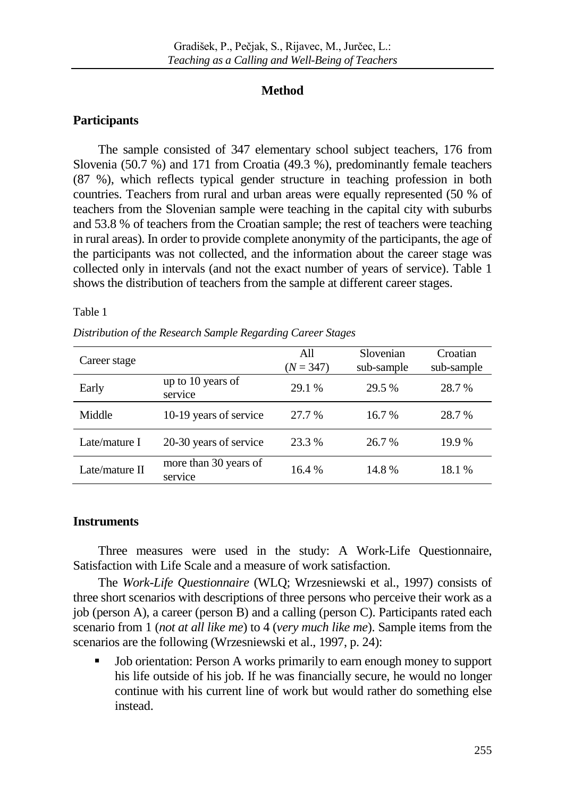## **Method**

## **Participants**

The sample consisted of 347 elementary school subject teachers, 176 from Slovenia (50.7 %) and 171 from Croatia (49.3 %), predominantly female teachers (87 %), which reflects typical gender structure in teaching profession in both countries. Teachers from rural and urban areas were equally represented (50 % of teachers from the Slovenian sample were teaching in the capital city with suburbs and 53.8 % of teachers from the Croatian sample; the rest of teachers were teaching in rural areas). In order to provide complete anonymity of the participants, the age of the participants was not collected, and the information about the career stage was collected only in intervals (and not the exact number of years of service). Table 1 shows the distribution of teachers from the sample at different career stages.

#### Table 1

*Distribution of the Research Sample Regarding Career Stages*

| Career stage   |                                  | All<br>$(N = 347)$ | Slovenian<br>sub-sample | Croatian<br>sub-sample |
|----------------|----------------------------------|--------------------|-------------------------|------------------------|
| Early          | up to 10 years of<br>service     | 29.1 %             | 29.5 %                  | 28.7 %                 |
| Middle         | 10-19 years of service           | 27.7 %             | 16.7 %                  | 28.7 %                 |
| Late/mature I  | 20-30 years of service           | 23.3 %             | 26.7 %                  | 19.9 %                 |
| Late/mature II | more than 30 years of<br>service | 16.4 %             | 14.8%                   | 18.1 %                 |

## **Instruments**

Three measures were used in the study: A Work-Life Questionnaire, Satisfaction with Life Scale and a measure of work satisfaction.

The *Work-Life Questionnaire* (WLQ; Wrzesniewski et al., 1997) consists of three short scenarios with descriptions of three persons who perceive their work as a job (person A), a career (person B) and a calling (person C). Participants rated each scenario from 1 (*not at all like me*) to 4 (*very much like me*). Sample items from the scenarios are the following (Wrzesniewski et al., 1997, p. 24):

• Job orientation: Person A works primarily to earn enough money to support his life outside of his job. If he was financially secure, he would no longer continue with his current line of work but would rather do something else instead.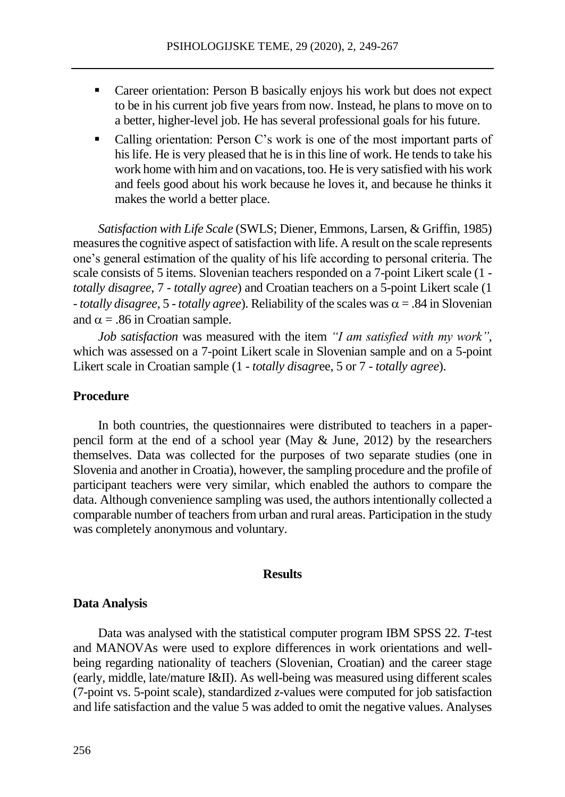- Career orientation: Person B basically enjoys his work but does not expect to be in his current job five years from now. Instead, he plans to move on to a better, higher-level job. He has several professional goals for his future.
- Calling orientation: Person C's work is one of the most important parts of his life. He is very pleased that he is in this line of work. He tends to take his work home with him and on vacations, too. He is very satisfied with his work and feels good about his work because he loves it, and because he thinks it makes the world a better place.

*Satisfaction with Life Scale* (SWLS; Diener, Emmons, Larsen, & Griffin, 1985) measures the cognitive aspect of satisfaction with life. A result on the scale represents one's general estimation of the quality of his life according to personal criteria. The scale consists of 5 items. Slovenian teachers responded on a 7-point Likert scale (1 *totally disagree*, 7 - *totally agree*) and Croatian teachers on a 5-point Likert scale (1  $-$ *totally disagree*, 5  $-$  *totally agree*). Reliability of the scales was  $\alpha = .84$  in Slovenian and  $\alpha$  = .86 in Croatian sample.

*Job satisfaction* was measured with the item *"I am satisfied with my work"*, which was assessed on a 7-point Likert scale in Slovenian sample and on a 5-point Likert scale in Croatian sample (1 - *totally disagr*ee, 5 or 7 - *totally agree*).

#### **Procedure**

In both countries, the questionnaires were distributed to teachers in a paperpencil form at the end of a school year (May & June, 2012) by the researchers themselves. Data was collected for the purposes of two separate studies (one in Slovenia and another in Croatia), however, the sampling procedure and the profile of participant teachers were very similar, which enabled the authors to compare the data. Although convenience sampling was used, the authors intentionally collected a comparable number of teachers from urban and rural areas. Participation in the study was completely anonymous and voluntary.

#### **Results**

#### **Data Analysis**

Data was analysed with the statistical computer program IBM SPSS 22. *T*-test and MANOVAs were used to explore differences in work orientations and wellbeing regarding nationality of teachers (Slovenian, Croatian) and the career stage (early, middle, late/mature I&II). As well-being was measured using different scales (7-point vs. 5-point scale), standardized *z*-values were computed for job satisfaction and life satisfaction and the value 5 was added to omit the negative values. Analyses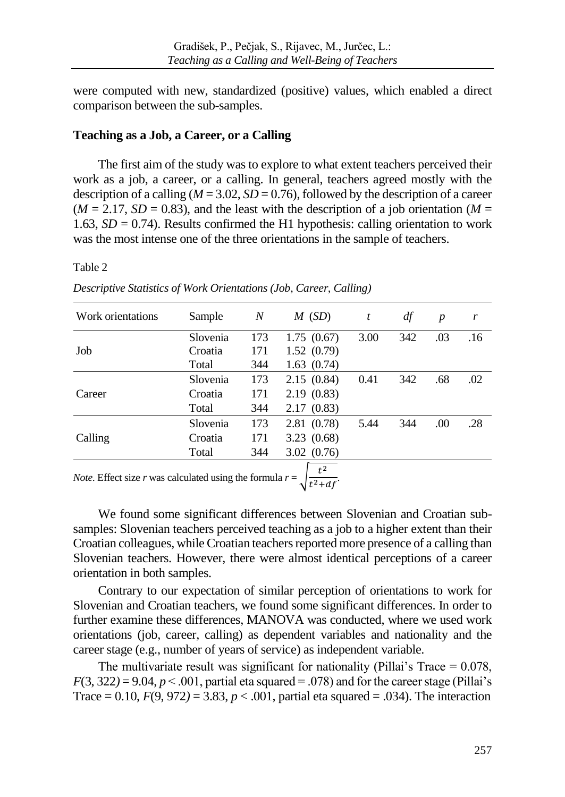were computed with new, standardized (positive) values, which enabled a direct comparison between the sub-samples.

## **Teaching as a Job, a Career, or a Calling**

The first aim of the study was to explore to what extent teachers perceived their work as a job, a career, or a calling. In general, teachers agreed mostly with the description of a calling  $(M = 3.02, SD = 0.76)$ , followed by the description of a career  $(M = 2.17, SD = 0.83)$ , and the least with the description of a job orientation  $(M = 1.17, SD = 0.83)$ 1.63,  $SD = 0.74$ ). Results confirmed the H1 hypothesis: calling orientation to work was the most intense one of the three orientations in the sample of teachers.

#### Table 2

| Work orientations                                                  | Sample   | $\boldsymbol{N}$ | $M$ (SD)   | t    | df  | $\boldsymbol{p}$ | r   |
|--------------------------------------------------------------------|----------|------------------|------------|------|-----|------------------|-----|
|                                                                    | Slovenia | 173              | 1.75(0.67) | 3.00 | 342 | .03              | .16 |
| Job                                                                | Croatia  | 171              | 1.52(0.79) |      |     |                  |     |
|                                                                    | Total    | 344              | 1.63(0.74) |      |     |                  |     |
|                                                                    | Slovenia | 173              | 2.15(0.84) | 0.41 | 342 | .68              | .02 |
| Career                                                             | Croatia  | 171              | 2.19(0.83) |      |     |                  |     |
|                                                                    | Total    | 344              | 2.17(0.83) |      |     |                  |     |
|                                                                    | Slovenia | 173              | 2.81(0.78) | 5.44 | 344 | .00              | .28 |
| Calling                                                            | Croatia  | 171              | 3.23(0.68) |      |     |                  |     |
|                                                                    | Total    | 344              | 3.02(0.76) |      |     |                  |     |
| <i>Note</i> . Effect size r was calculated using the formula $r =$ |          |                  | $t^2$      |      |     |                  |     |

*Descriptive Statistics of Work Orientations (Job, Career, Calling)* 

*Note*. Effect size *r* was calculated using the formula  $r = \int$  $\frac{c}{t^2+df}$ .

We found some significant differences between Slovenian and Croatian subsamples: Slovenian teachers perceived teaching as a job to a higher extent than their Croatian colleagues, while Croatian teachers reported more presence of a calling than Slovenian teachers. However, there were almost identical perceptions of a career orientation in both samples.

Contrary to our expectation of similar perception of orientations to work for Slovenian and Croatian teachers, we found some significant differences. In order to further examine these differences, MANOVA was conducted, where we used work orientations (job, career, calling) as dependent variables and nationality and the career stage (e.g., number of years of service) as independent variable.

The multivariate result was significant for nationality (Pillai's Trace  $= 0.078$ ,  $F(3, 322) = 9.04$ ,  $p < .001$ , partial eta squared = .078) and for the career stage (Pillai's Trace = 0.10,  $F(9, 972) = 3.83$ ,  $p < .001$ , partial eta squared = .034). The interaction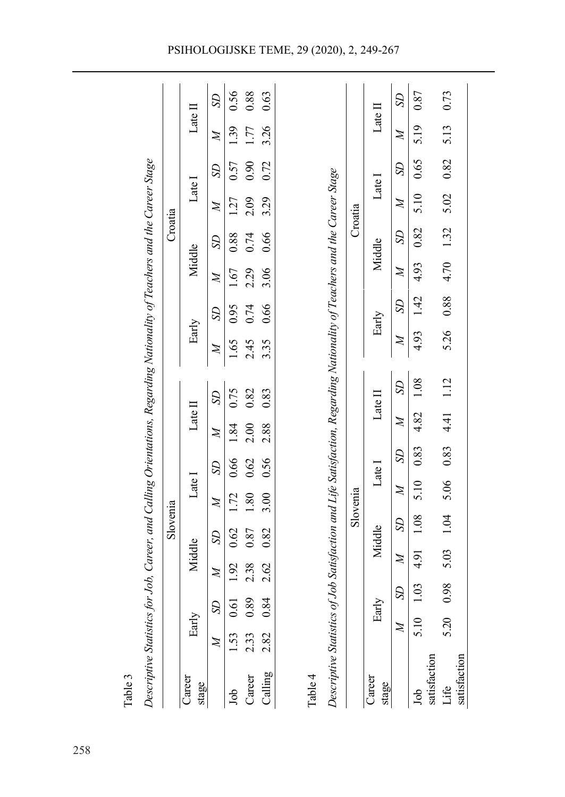| Descriptive Statistics for Job, Career, and Calling Orientations, Regarding Nationality of Teachers and the Career Stage            |              |               |              | Slovenia        |                                               |                |              |                 |                  |                |                       | Croatia        |                       |                |                  |                 |
|-------------------------------------------------------------------------------------------------------------------------------------|--------------|---------------|--------------|-----------------|-----------------------------------------------|----------------|--------------|-----------------|------------------|----------------|-----------------------|----------------|-----------------------|----------------|------------------|-----------------|
| Career<br>stage                                                                                                                     | Early        |               | Middle       |                 | $\operatorname{Late}$ $\overline{\mathrm{I}}$ |                | Late II      |                 | Early            |                | Middle                |                | Late I                |                | Late II          |                 |
|                                                                                                                                     | $\mathbb{Z}$ | S             | $\cancel{z}$ | S <sub>D</sub>  | $\mathbb{Z}$                                  | S <sub>D</sub> | $\cancel{z}$ | <b>SD</b>       | $\boldsymbol{M}$ | S <sub>D</sub> | $\cancel{z}$          | S <sub>D</sub> | $\mathbb{Z}$          | S <sub>D</sub> | Z                | SD <sub>1</sub> |
| Job                                                                                                                                 | 1.53         | 0.61          | 1.92         | 0.62            | 1.72                                          | 0.66           | 1.84         | 0.75            | 1.65             | 0.95           | 1.67                  | $0.88\,$       | 1.27                  | 0.57           | 1.39             | 0.56            |
| Career                                                                                                                              | 2.33         | 0.89          | 2.38         | 0.87            | .80                                           | 0.62           | 2.00         | 0.82            | 2.45             | 0.74           | 2.29                  | 0.74           | 2.09                  | 0.90           | 1.77             | 0.88            |
| Calling                                                                                                                             | 2.82         | 0.84          | 2.62         | 0.82            | 3.00                                          | 0.56           | 2.88         | 0.83            | 3.35             | 0.66           | 3.06                  | 0.66           | 3.29                  | 0.72           | 3.26             | 0.63            |
| Descriptive Statistics of Job Satisfaction and Life Satisfaction, Regarding Nationality of Teachers and the Career Stage<br>Table 4 |              |               |              |                 |                                               |                |              |                 |                  |                |                       |                |                       |                |                  |                 |
|                                                                                                                                     |              |               |              |                 | Slovenia                                      |                |              |                 |                  |                |                       |                | Croatia               |                |                  |                 |
| $C$ areer<br>stage                                                                                                                  |              | Early         |              | Middle          |                                               | Late I         |              | Late $\Pi$      |                  | Early          |                       | Middle         |                       | Late I         | Late $\mathbb I$ |                 |
|                                                                                                                                     | $\mathbb{Z}$ | $\mathcal{S}$ | $\mathbb{Z}$ | SD <sub>1</sub> | $\cancel{z}$                                  | S <sub>D</sub> | $\mathbb{N}$ | SD <sub>1</sub> | $\cancel{z}$     | SD             | $\cancel{\mathbb{Z}}$ | SD             | $\cancel{\mathbb{Z}}$ | SD             | $\mathbb{Z}$     | S <sub>D</sub>  |
| satisfaction<br><b>Sol</b>                                                                                                          | 5.10         | 1.03          | 4.91         | 1.08            | 5.10                                          | 0.83           | 4.82         | 1.08            | 4.93             | 1.42           | 4.93                  | 0.82           | 5.10                  | 0.65           | 5.19             | 0.87            |
| satisfaction<br>Life                                                                                                                | 5.20         | 0.98          | 5.03         | 1.04            | 5.06                                          | 0.83           | 4.41         | 1.12            | 5.26             | 0.88           | 4.70                  | 1.32           | 5.02                  | 0.82           | 5.13             | 0.73            |

## PSIHOLOGIJSKE TEME, 29 (2020), 2, 249-267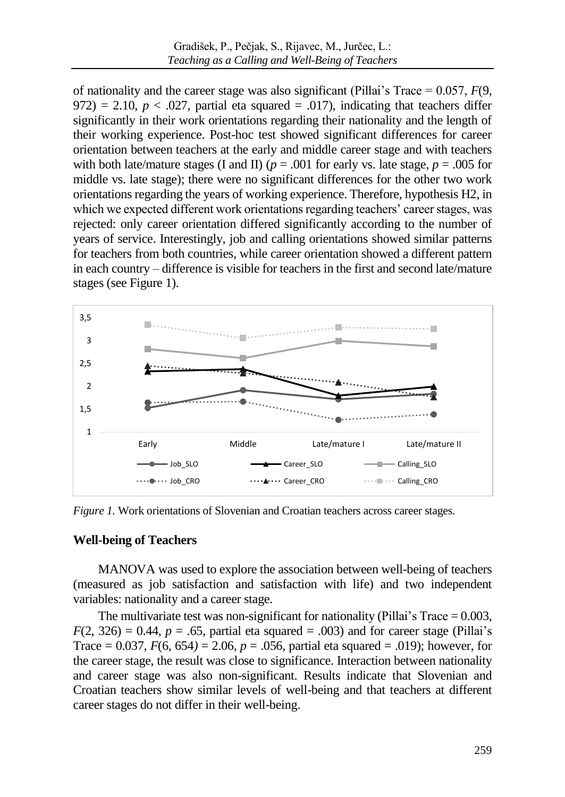of nationality and the career stage was also significant (Pillai's Trace  $= 0.057$ ,  $F(9)$ , 972) = 2.10,  $p < .027$ , partial eta squared = .017), indicating that teachers differ significantly in their work orientations regarding their nationality and the length of their working experience. Post-hoc test showed significant differences for career orientation between teachers at the early and middle career stage and with teachers with both late/mature stages (I and II)  $(p = .001$  for early vs. late stage,  $p = .005$  for middle vs. late stage); there were no significant differences for the other two work orientations regarding the years of working experience. Therefore, hypothesis H2, in which we expected different work orientations regarding teachers' career stages, was rejected: only career orientation differed significantly according to the number of years of service. Interestingly, job and calling orientations showed similar patterns for teachers from both countries, while career orientation showed a different pattern in each country – difference is visible for teachers in the first and second late/mature stages (see Figure 1).



*Figure 1.* Work orientations of Slovenian and Croatian teachers across career stages.

## **Well-being of Teachers**

MANOVA was used to explore the association between well-being of teachers (measured as job satisfaction and satisfaction with life) and two independent variables: nationality and a career stage.

The multivariate test was non-significant for nationality (Pillai's Trace  $= 0.003$ ,  $F(2, 326) = 0.44$ ,  $p = .65$ , partial eta squared = .003) and for career stage (Pillai's Trace =  $0.037$ ,  $F(6, 654) = 2.06$ ,  $p = .056$ , partial eta squared = .019); however, for the career stage, the result was close to significance. Interaction between nationality and career stage was also non-significant. Results indicate that Slovenian and Croatian teachers show similar levels of well-being and that teachers at different career stages do not differ in their well-being.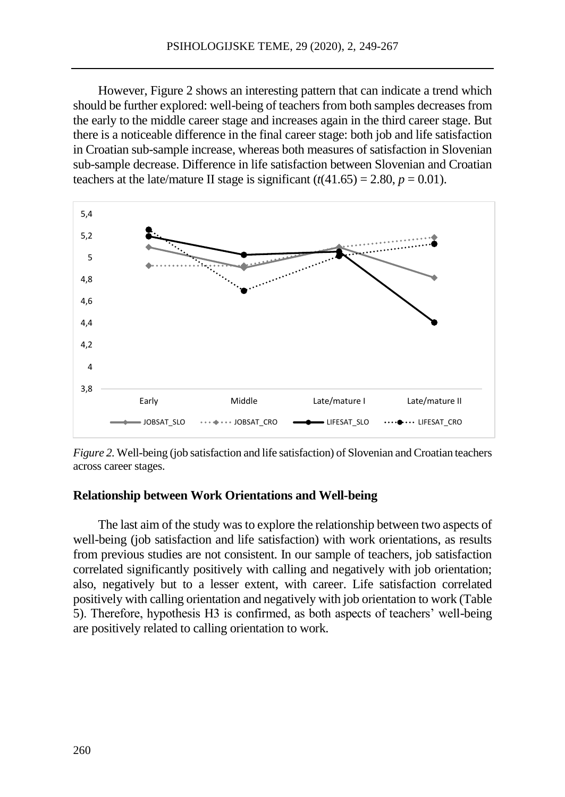However, Figure 2 shows an interesting pattern that can indicate a trend which should be further explored: well-being of teachers from both samples decreasesfrom the early to the middle career stage and increases again in the third career stage. But there is a noticeable difference in the final career stage: both job and life satisfaction in Croatian sub-sample increase, whereas both measures of satisfaction in Slovenian sub-sample decrease. Difference in life satisfaction between Slovenian and Croatian teachers at the late/mature II stage is significant  $(t(41.65) = 2.80, p = 0.01)$ .



*Figure 2.* Well-being (job satisfaction and life satisfaction) of Slovenian and Croatian teachers across career stages.

## **Relationship between Work Orientations and Well-being**

The last aim of the study was to explore the relationship between two aspects of well-being (job satisfaction and life satisfaction) with work orientations, as results from previous studies are not consistent. In our sample of teachers, job satisfaction correlated significantly positively with calling and negatively with job orientation; also, negatively but to a lesser extent, with career. Life satisfaction correlated positively with calling orientation and negatively with job orientation to work (Table 5). Therefore, hypothesis H3 is confirmed, as both aspects of teachers' well-being are positively related to calling orientation to work.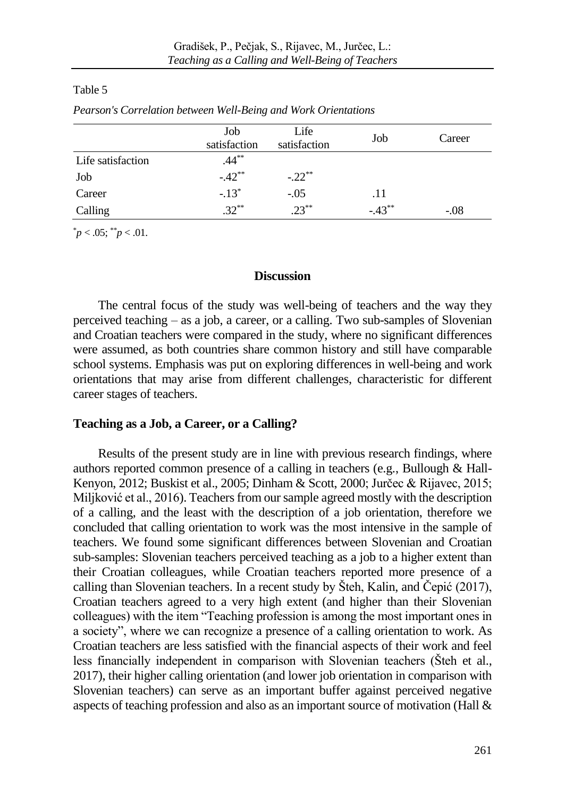#### Table 5

|                   | Job<br>satisfaction | Life<br>satisfaction | Job      | Career |
|-------------------|---------------------|----------------------|----------|--------|
| Life satisfaction | $.44***$            |                      |          |        |
| Job               | $-.42**$            | $-.22**$             |          |        |
| Career            | $-.13*$             | $-.05$               | .11      |        |
| Calling           | $.32***$            | $23***$              | $-.43**$ | $-.08$ |

*Pearson's Correlation between Well-Being and Work Orientations*

 $p < .05$ ;  $p < .01$ .

## **Discussion**

The central focus of the study was well-being of teachers and the way they perceived teaching – as a job, a career, or a calling. Two sub-samples of Slovenian and Croatian teachers were compared in the study, where no significant differences were assumed, as both countries share common history and still have comparable school systems. Emphasis was put on exploring differences in well-being and work orientations that may arise from different challenges, characteristic for different career stages of teachers.

## **Teaching as a Job, a Career, or a Calling?**

Results of the present study are in line with previous research findings, where authors reported common presence of a calling in teachers (e.g., Bullough & Hall-Kenyon, 2012; Buskist et al., 2005; Dinham & Scott, 2000; Jurčec & Rijavec, 2015; Miljković et al., 2016). Teachers from our sample agreed mostly with the description of a calling, and the least with the description of a job orientation, therefore we concluded that calling orientation to work was the most intensive in the sample of teachers. We found some significant differences between Slovenian and Croatian sub-samples: Slovenian teachers perceived teaching as a job to a higher extent than their Croatian colleagues, while Croatian teachers reported more presence of a calling than Slovenian teachers. In a recent study by Šteh, Kalin, and Čepić (2017), Croatian teachers agreed to a very high extent (and higher than their Slovenian colleagues) with the item "Teaching profession is among the most important ones in a society", where we can recognize a presence of a calling orientation to work. As Croatian teachers are less satisfied with the financial aspects of their work and feel less financially independent in comparison with Slovenian teachers (Šteh et al., 2017), their higher calling orientation (and lower job orientation in comparison with Slovenian teachers) can serve as an important buffer against perceived negative aspects of teaching profession and also as an important source of motivation (Hall &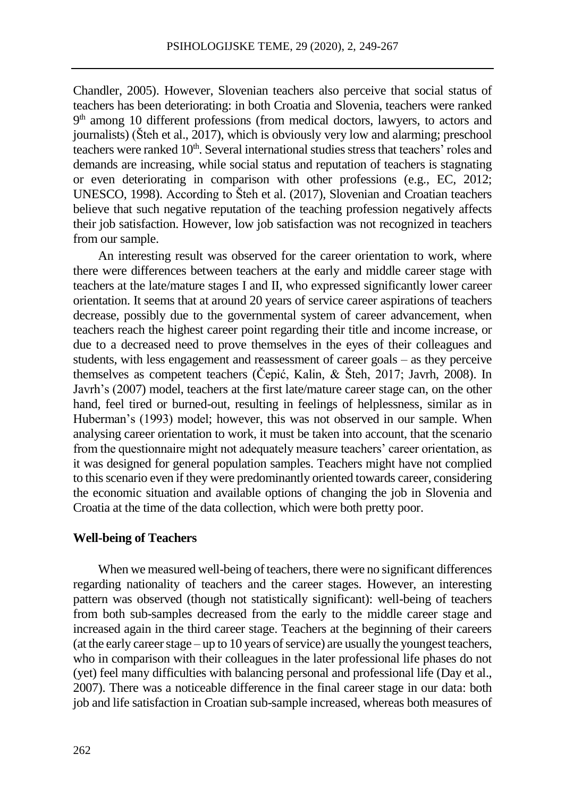Chandler, 2005). However, Slovenian teachers also perceive that social status of teachers has been deteriorating: in both Croatia and Slovenia, teachers were ranked 9<sup>th</sup> among 10 different professions (from medical doctors, lawyers, to actors and journalists) (Šteh et al., 2017), which is obviously very low and alarming; preschool teachers were ranked 10<sup>th</sup>. Several international studies stress that teachers' roles and demands are increasing, while social status and reputation of teachers is stagnating or even deteriorating in comparison with other professions (e.g., EC, 2012; UNESCO, 1998). According to Šteh et al. (2017), Slovenian and Croatian teachers believe that such negative reputation of the teaching profession negatively affects their job satisfaction. However, low job satisfaction was not recognized in teachers from our sample.

An interesting result was observed for the career orientation to work, where there were differences between teachers at the early and middle career stage with teachers at the late/mature stages I and II, who expressed significantly lower career orientation. It seems that at around 20 years of service career aspirations of teachers decrease, possibly due to the governmental system of career advancement, when teachers reach the highest career point regarding their title and income increase, or due to a decreased need to prove themselves in the eyes of their colleagues and students, with less engagement and reassessment of career goals – as they perceive themselves as competent teachers (Čepić, Kalin, & Šteh, 2017; Javrh, 2008). In Javrh's (2007) model, teachers at the first late/mature career stage can, on the other hand, feel tired or burned-out, resulting in feelings of helplessness, similar as in Huberman's (1993) model; however, this was not observed in our sample. When analysing career orientation to work, it must be taken into account, that the scenario from the questionnaire might not adequately measure teachers' career orientation, as it was designed for general population samples. Teachers might have not complied to this scenario even if they were predominantly oriented towards career, considering the economic situation and available options of changing the job in Slovenia and Croatia at the time of the data collection, which were both pretty poor.

#### **Well-being of Teachers**

When we measured well-being of teachers, there were no significant differences regarding nationality of teachers and the career stages. However, an interesting pattern was observed (though not statistically significant): well-being of teachers from both sub-samples decreased from the early to the middle career stage and increased again in the third career stage. Teachers at the beginning of their careers (at the early career stage – up to 10 years of service) are usually the youngest teachers, who in comparison with their colleagues in the later professional life phases do not (yet) feel many difficulties with balancing personal and professional life (Day et al., 2007). There was a noticeable difference in the final career stage in our data: both job and life satisfaction in Croatian sub-sample increased, whereas both measures of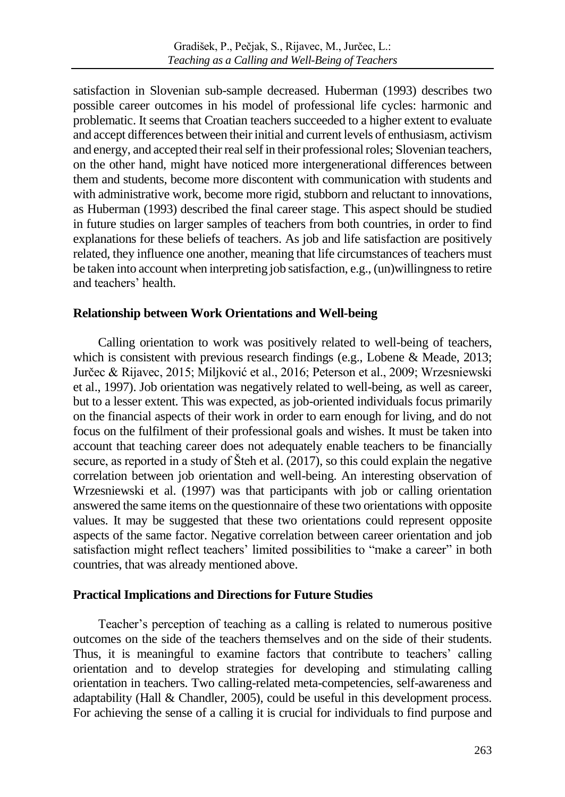satisfaction in Slovenian sub-sample decreased. Huberman (1993) describes two possible career outcomes in his model of professional life cycles: harmonic and problematic. It seems that Croatian teachers succeeded to a higher extent to evaluate and accept differences between their initial and current levels of enthusiasm, activism and energy, and accepted their real self in their professional roles; Slovenian teachers, on the other hand, might have noticed more intergenerational differences between them and students, become more discontent with communication with students and with administrative work, become more rigid, stubborn and reluctant to innovations, as Huberman (1993) described the final career stage. This aspect should be studied in future studies on larger samples of teachers from both countries, in order to find explanations for these beliefs of teachers. As job and life satisfaction are positively related, they influence one another, meaning that life circumstances of teachers must be taken into account when interpreting job satisfaction, e.g., (un)willingness to retire and teachers' health.

## **Relationship between Work Orientations and Well-being**

Calling orientation to work was positively related to well-being of teachers, which is consistent with previous research findings (e.g., Lobene & Meade, 2013; Jurčec & Rijavec, 2015; Miljković et al., 2016; Peterson et al., 2009; Wrzesniewski et al., 1997). Job orientation was negatively related to well-being, as well as career, but to a lesser extent. This was expected, as job-oriented individuals focus primarily on the financial aspects of their work in order to earn enough for living, and do not focus on the fulfilment of their professional goals and wishes. It must be taken into account that teaching career does not adequately enable teachers to be financially secure, as reported in a study of Šteh et al. (2017), so this could explain the negative correlation between job orientation and well-being. An interesting observation of Wrzesniewski et al. (1997) was that participants with job or calling orientation answered the same items on the questionnaire of these two orientations with opposite values. It may be suggested that these two orientations could represent opposite aspects of the same factor. Negative correlation between career orientation and job satisfaction might reflect teachers' limited possibilities to "make a career" in both countries, that was already mentioned above.

## **Practical Implications and Directions for Future Studies**

Teacher's perception of teaching as a calling is related to numerous positive outcomes on the side of the teachers themselves and on the side of their students. Thus, it is meaningful to examine factors that contribute to teachers' calling orientation and to develop strategies for developing and stimulating calling orientation in teachers. Two calling-related meta-competencies, self-awareness and adaptability (Hall & Chandler, 2005), could be useful in this development process. For achieving the sense of a calling it is crucial for individuals to find purpose and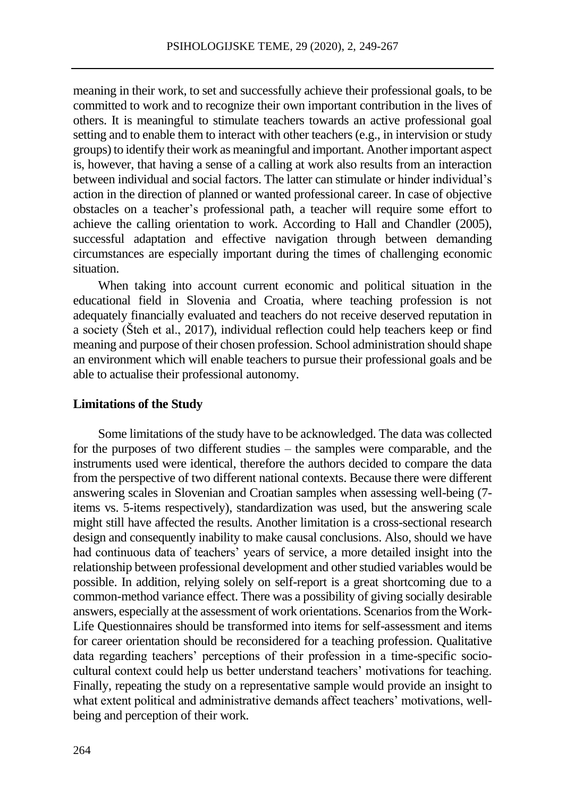meaning in their work, to set and successfully achieve their professional goals, to be committed to work and to recognize their own important contribution in the lives of others. It is meaningful to stimulate teachers towards an active professional goal setting and to enable them to interact with other teachers (e.g., in intervision or study groups) to identify their work as meaningful and important. Another important aspect is, however, that having a sense of a calling at work also results from an interaction between individual and social factors. The latter can stimulate or hinder individual's action in the direction of planned or wanted professional career. In case of objective obstacles on a teacher's professional path, a teacher will require some effort to achieve the calling orientation to work. According to Hall and Chandler (2005), successful adaptation and effective navigation through between demanding circumstances are especially important during the times of challenging economic situation.

When taking into account current economic and political situation in the educational field in Slovenia and Croatia, where teaching profession is not adequately financially evaluated and teachers do not receive deserved reputation in a society (Šteh et al., 2017), individual reflection could help teachers keep or find meaning and purpose of their chosen profession. School administration should shape an environment which will enable teachers to pursue their professional goals and be able to actualise their professional autonomy.

#### **Limitations of the Study**

Some limitations of the study have to be acknowledged. The data was collected for the purposes of two different studies – the samples were comparable, and the instruments used were identical, therefore the authors decided to compare the data from the perspective of two different national contexts. Because there were different answering scales in Slovenian and Croatian samples when assessing well-being (7 items vs. 5-items respectively), standardization was used, but the answering scale might still have affected the results. Another limitation is a cross-sectional research design and consequently inability to make causal conclusions. Also, should we have had continuous data of teachers' years of service, a more detailed insight into the relationship between professional development and other studied variables would be possible. In addition, relying solely on self-report is a great shortcoming due to a common-method variance effect. There was a possibility of giving socially desirable answers, especially at the assessment of work orientations. Scenarios from the Work-Life Questionnaires should be transformed into items for self-assessment and items for career orientation should be reconsidered for a teaching profession. Qualitative data regarding teachers' perceptions of their profession in a time-specific sociocultural context could help us better understand teachers' motivations for teaching. Finally, repeating the study on a representative sample would provide an insight to what extent political and administrative demands affect teachers' motivations, wellbeing and perception of their work.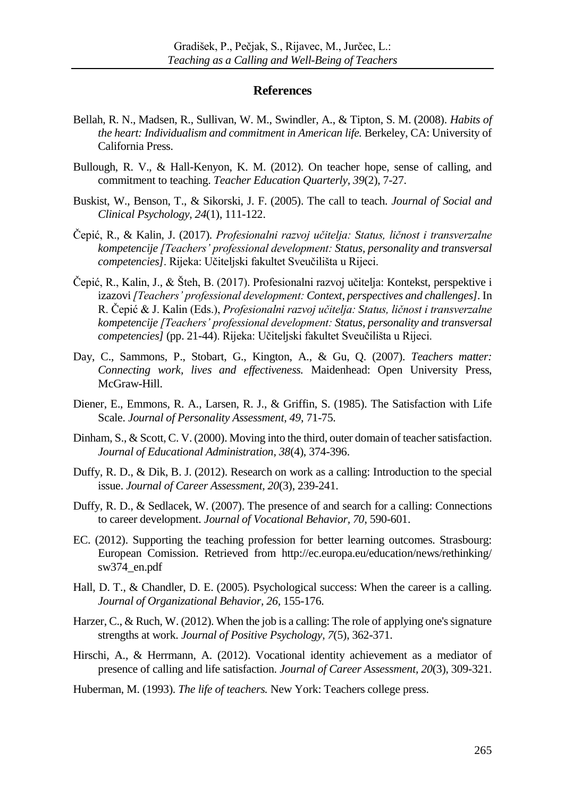#### **References**

- Bellah, R. N., Madsen, R., Sullivan, W. M., Swindler, A., & Tipton, S. M. (2008). *Habits of the heart: Individualism and commitment in American life.* Berkeley, CA: University of California Press.
- Bullough, R. V., & Hall-Kenyon, K. M. (2012). On teacher hope, sense of calling, and commitment to teaching. *Teacher Education Quarterly, 39*(2), 7-27.
- Buskist, W., Benson, T., & Sikorski, J. F. (2005). The call to teach. *Journal of Social and Clinical Psychology, 24*(1), 111-122.
- Čepić, R., & Kalin, J. (2017). *Profesionalni razvoj učitelja: Status, ličnost i transverzalne kompetencije [Teachers' professional development: Status, personality and transversal competencies]*. Rijeka: Učiteljski fakultet Sveučilišta u Rijeci.
- Čepić, R., Kalin, J., & Šteh, B. (2017). Profesionalni razvoj učitelja: Kontekst, perspektive i izazovi *[Teachers' professional development: Context, perspectives and challenges].* In R. Čepić & J. Kalin (Eds.), *Profesionalni razvoj učitelja: Status, ličnost i transverzalne kompetencije [Teachers' professional development: Status, personality and transversal competencies]* (pp. 21-44). Rijeka: Učiteljski fakultet Sveučilišta u Rijeci.
- Day, C., Sammons, P., Stobart, G., Kington, A., & Gu, Q. (2007). *Teachers matter: Connecting work, lives and effectiveness.* Maidenhead: Open University Press, McGraw-Hill.
- Diener, E., Emmons, R. A., Larsen, R. J., & Griffin, S. (1985). The Satisfaction with Life Scale. *Journal of Personality Assessment, 49,* 71-75.
- Dinham, S., & Scott, C. V. (2000). Moving into the third, outer domain of teacher satisfaction. *Journal of Educational Administration, 38*(4), 374-396.
- Duffy, R. D., & Dik, B. J. (2012). Research on work as a calling: Introduction to the special issue. *Journal of Career Assessment, 20*(3), 239-241.
- Duffy, R. D., & Sedlacek, W. (2007). The presence of and search for a calling: Connections to career development. *Journal of Vocational Behavior, 70*, 590-601.
- EC. (2012). Supporting the teaching profession for better learning outcomes. Strasbourg: European Comission. Retrieved from http://ec.europa.eu/education/news/rethinking/ sw374\_en.pdf
- Hall, D. T., & Chandler, D. E. (2005). Psychological success: When the career is a calling. *Journal of Organizational Behavior, 26,* 155-176.
- Harzer, C., & Ruch, W. (2012). When the job is a calling: The role of applying one's signature strengths at work. *Journal of Positive Psychology, 7*(5), 362-371.
- Hirschi, A., & Herrmann, A. (2012). Vocational identity achievement as a mediator of presence of calling and life satisfaction. *Journal of Career Assessment, 20*(3), 309-321.
- Huberman, M. (1993). *The life of teachers.* New York: Teachers college press.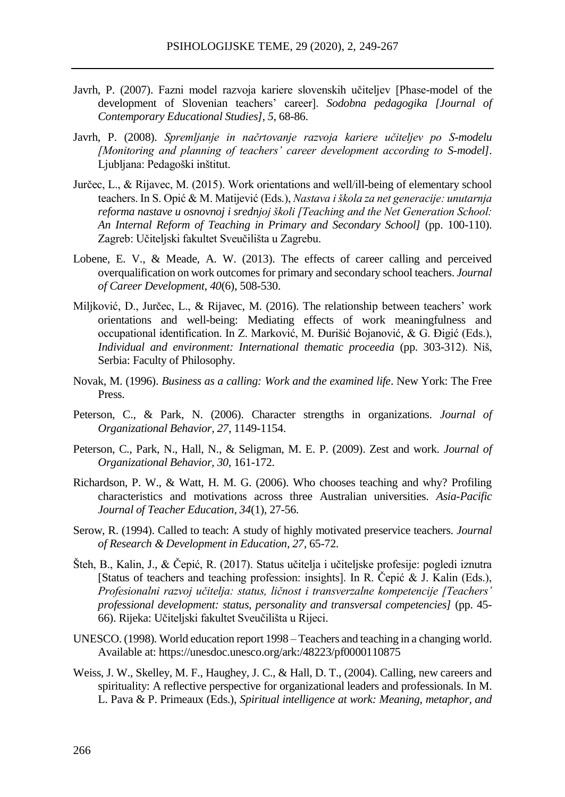- Javrh, P. (2007). Fazni model razvoja kariere slovenskih učiteljev [Phase-model of the development of Slovenian teachers' career]. *Sodobna pedagogika [Journal of Contemporary Educational Studies], 5*, 68-86.
- Javrh, P. (2008). *Spremljanje in načrtovanje razvoja kariere učiteljev po S-modelu [Monitoring and planning of teachers' career development according to S-model]*. Ljubljana: Pedagoški inštitut.
- Jurčec, L., & Rijavec, M. (2015). Work orientations and well/ill-being of elementary school teachers. In S. Opić & M. Matijević (Eds.), *Nastava i škola za net generacije: unutarnja reforma nastave u osnovnoj i srednjoj školi [Teaching and the Net Generation School: An Internal Reform of Teaching in Primary and Secondary School]* (pp. 100-110). Zagreb: Učiteljski fakultet Sveučilišta u Zagrebu.
- Lobene, E. V., & Meade, A. W. (2013). The effects of career calling and perceived overqualification on work outcomes for primary and secondary school teachers. *Journal of Career Development, 40*(6), 508-530.
- Miljković, D., Jurčec, L., & Rijavec, M. (2016). The relationship between teachers' work orientations and well-being: Mediating effects of work meaningfulness and occupational identification. In Z. Marković, M. Đurišić Bojanović, & G. Đigić (Eds.), *Individual and environment: International thematic proceedia* (pp. 303-312). Niš, Serbia: Faculty of Philosophy.
- Novak, M. (1996). *Business as a calling: Work and the examined life*. New York: The Free Press.
- Peterson, C., & Park, N. (2006). Character strengths in organizations. *Journal of Organizational Behavior, 27,* 1149-1154.
- Peterson, C., Park, N., Hall, N., & Seligman, M. E. P. (2009). Zest and work. *Journal of Organizational Behavior, 30,* 161-172.
- Richardson, P. W., & Watt, H. M. G. (2006). Who chooses teaching and why? Profiling characteristics and motivations across three Australian universities. *Asia-Pacific Journal of Teacher Education, 34*(1)*,* 27-56.
- Serow, R. (1994). Called to teach: A study of highly motivated preservice teachers. *Journal of Research & Development in Education, 27,* 65-72.
- Šteh, B., Kalin, J., & Čepić, R. (2017). Status učitelja i učiteljske profesije: pogledi iznutra [Status of teachers and teaching profession: insights]. In R. Čepić & J. Kalin (Eds.), *Profesionalni razvoj učitelja: status, ličnost i transverzalne kompetencije [Teachers' professional development: status, personality and transversal competencies]* (pp. 45- 66). Rijeka: Učiteljski fakultet Sveučilišta u Rijeci.
- UNESCO. (1998). World education report 1998 Teachers and teaching in a changing world. Available at: https://unesdoc.unesco.org/ark:/48223/pf0000110875
- Weiss, J. W., Skelley, M. F., Haughey, J. C., & Hall, D. T., (2004). Calling, new careers and spirituality: A reflective perspective for organizational leaders and professionals. In M. L. Pava & P. Primeaux (Eds.), *Spiritual intelligence at work: Meaning, metaphor, and*